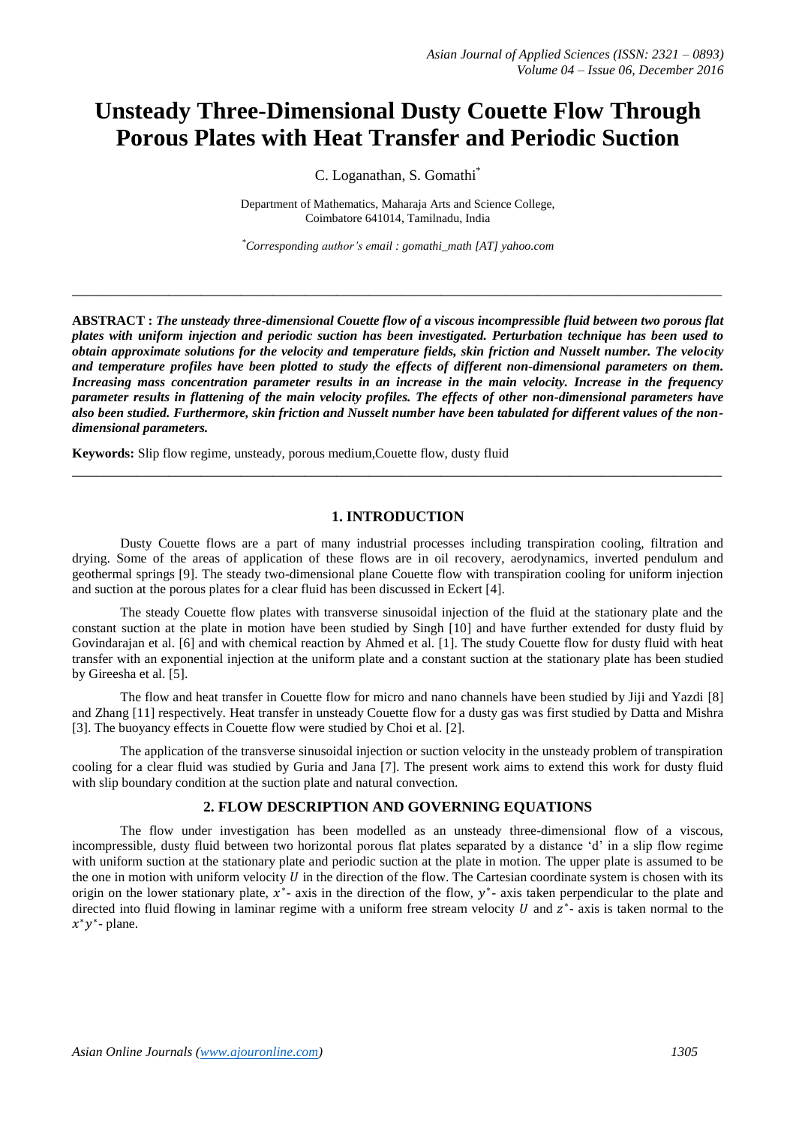# **Unsteady Three-Dimensional Dusty Couette Flow Through Porous Plates with Heat Transfer and Periodic Suction**

C. Loganathan, S. Gomathi\*

Department of Mathematics, Maharaja Arts and Science College, Coimbatore 641014, Tamilnadu, India

*\*Corresponding author's email : gomathi\_math [\[AT\] yahoo.com](mailto:gomathi_math@yahoo.com)*

**\_\_\_\_\_\_\_\_\_\_\_\_\_\_\_\_\_\_\_\_\_\_\_\_\_\_\_\_\_\_\_\_\_\_\_\_\_\_\_\_\_\_\_\_\_\_\_\_\_\_\_\_\_\_\_\_\_\_\_\_\_\_\_\_\_\_\_\_\_\_\_\_\_\_\_\_\_\_\_\_\_**

**ABSTRACT :** *The unsteady three-dimensional Couette flow of a viscous incompressible fluid between two porous flat plates with uniform injection and periodic suction has been investigated. Perturbation technique has been used to obtain approximate solutions for the velocity and temperature fields, skin friction and Nusselt number. The velocity and temperature profiles have been plotted to study the effects of different non-dimensional parameters on them. Increasing mass concentration parameter results in an increase in the main velocity. Increase in the frequency parameter results in flattening of the main velocity profiles. The effects of other non-dimensional parameters have also been studied. Furthermore, skin friction and Nusselt number have been tabulated for different values of the nondimensional parameters.*

**Keywords:** Slip flow regime, unsteady, porous medium,Couette flow, dusty fluid

#### **1. INTRODUCTION**

**\_\_\_\_\_\_\_\_\_\_\_\_\_\_\_\_\_\_\_\_\_\_\_\_\_\_\_\_\_\_\_\_\_\_\_\_\_\_\_\_\_\_\_\_\_\_\_\_\_\_\_\_\_\_\_\_\_\_\_\_\_\_\_\_\_\_\_\_\_\_\_\_\_\_\_\_\_\_\_\_\_**

Dusty Couette flows are a part of many industrial processes including transpiration cooling, filtration and drying. Some of the areas of application of these flows are in oil recovery, aerodynamics, inverted pendulum and geothermal springs [9]. The steady two-dimensional plane Couette flow with transpiration cooling for uniform injection and suction at the porous plates for a clear fluid has been discussed in Eckert [4].

The steady Couette flow plates with transverse sinusoidal injection of the fluid at the stationary plate and the constant suction at the plate in motion have been studied by Singh [10] and have further extended for dusty fluid by Govindarajan et al. [6] and with chemical reaction by Ahmed et al. [1]. The study Couette flow for dusty fluid with heat transfer with an exponential injection at the uniform plate and a constant suction at the stationary plate has been studied by Gireesha et al. [5].

The flow and heat transfer in Couette flow for micro and nano channels have been studied by Jiji and Yazdi [8] and Zhang [11] respectively. Heat transfer in unsteady Couette flow for a dusty gas was first studied by Datta and Mishra [3]. The buoyancy effects in Couette flow were studied by Choi et al. [2].

The application of the transverse sinusoidal injection or suction velocity in the unsteady problem of transpiration cooling for a clear fluid was studied by Guria and Jana [7]. The present work aims to extend this work for dusty fluid with slip boundary condition at the suction plate and natural convection.

#### **2. FLOW DESCRIPTION AND GOVERNING EQUATIONS**

The flow under investigation has been modelled as an unsteady three-dimensional flow of a viscous, incompressible, dusty fluid between two horizontal porous flat plates separated by a distance 'd' in a slip flow regime with uniform suction at the stationary plate and periodic suction at the plate in motion. The upper plate is assumed to be the one in motion with uniform velocity  $U$  in the direction of the flow. The Cartesian coordinate system is chosen with its origin on the lower stationary plate,  $x^*$ - axis in the direction of the flow,  $y^*$ - axis taken perpendicular to the plate and directed into fluid flowing in laminar regime with a uniform free stream velocity  $U$  and  $z^*$ - axis is taken normal to the  $x^*y^*$ - plane.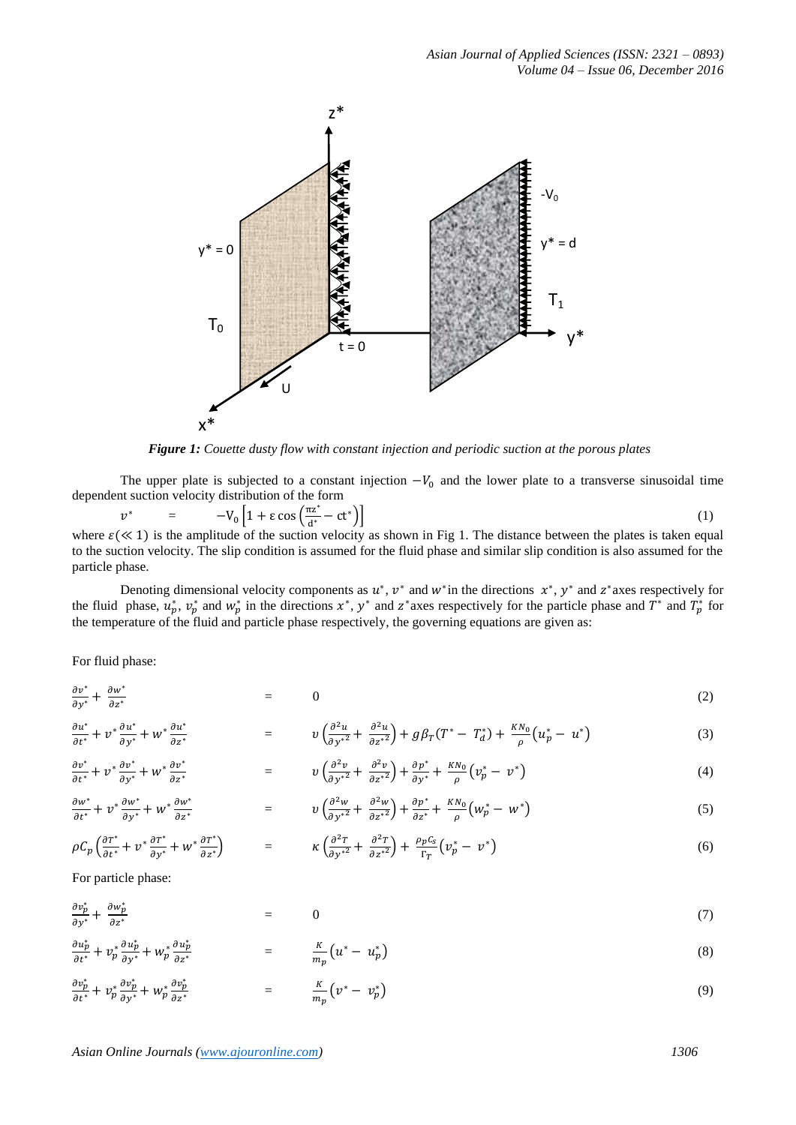

*Figure 1: Couette dusty flow with constant injection and periodic suction at the porous plates*

The upper plate is subjected to a constant injection  $-V_0$  and the lower plate to a transverse sinusoidal time dependent suction velocity distribution of the form

$$
v^* = -V_0 \left[ 1 + \varepsilon \cos \left( \frac{\pi z^*}{d^*} - ct^* \right) \right] \tag{1}
$$

where  $\varepsilon \ll 1$ ) is the amplitude of the suction velocity as shown in Fig 1. The distance between the plates is taken equal to the suction velocity. The slip condition is assumed for the fluid phase and similar slip condition is also assumed for the particle phase.

Denoting dimensional velocity components as  $u^*$ ,  $v^*$  and  $w^*$  in the directions  $x^*$ ,  $y^*$  and  $z^*$  axes respectively for the fluid phase,  $u_p^*$ ,  $v_p^*$  and  $w_p^*$  in the directions  $x^*$ ,  $y^*$  and  $z^*$  axes respectively for the particle phase and  $T^*$  and  $T_p^*$  for the temperature of the fluid and particle phase respectively, the governing equations are given as:

For fluid phase:

$$
\frac{\partial v^*}{\partial y^*} + \frac{\partial w^*}{\partial z^*} = 0 \tag{2}
$$

$$
\frac{\partial u^*}{\partial t^*} + v^* \frac{\partial u^*}{\partial y^*} + w^* \frac{\partial u^*}{\partial z^*} = \qquad \qquad v \left( \frac{\partial^2 u}{\partial y^{*2}} + \frac{\partial^2 u}{\partial z^{*2}} \right) + g \beta_T (T^* - T_d^*) + \frac{K N_0}{\rho} \left( u_p^* - u^* \right) \tag{3}
$$

$$
\frac{\partial v^*}{\partial t^*} + v^* \frac{\partial v^*}{\partial y^*} + w^* \frac{\partial v^*}{\partial z^*} = \qquad \qquad v \left( \frac{\partial^2 v}{\partial y^{*2}} + \frac{\partial^2 v}{\partial z^{*2}} \right) + \frac{\partial p^*}{\partial y^*} + \frac{KN_0}{\rho} \left( v_p^* - v^* \right) \tag{4}
$$

$$
\frac{\partial w^*}{\partial t^*} + v^* \frac{\partial w^*}{\partial y^*} + w^* \frac{\partial w^*}{\partial z^*} = \qquad \qquad v \left( \frac{\partial^2 w}{\partial y^{*2}} + \frac{\partial^2 w}{\partial z^{*2}} \right) + \frac{\partial p^*}{\partial z^*} + \frac{KN_0}{\rho} \left( w_p^* - w^* \right) \tag{5}
$$

$$
\rho C_p \left( \frac{\partial T^*}{\partial t^*} + v^* \frac{\partial T^*}{\partial y^*} + w^* \frac{\partial T^*}{\partial z^*} \right) = \kappa \left( \frac{\partial^2 T}{\partial y^{*2}} + \frac{\partial^2 T}{\partial z^{*2}} \right) + \frac{\rho_p C_s}{\Gamma_T} \left( v_p^* - v^* \right)
$$
(6)

For particle phase:

 $\sim$  10  $\pm$ 

$$
\frac{\partial v_p^*}{\partial y^*} + \frac{\partial w_p^*}{\partial z^*} = 0 \tag{7}
$$

$$
\frac{\partial u_p^*}{\partial t^*} + v_p^* \frac{\partial u_p^*}{\partial y^*} + w_p^* \frac{\partial u_p^*}{\partial z^*} = \frac{K}{m_p} \left( u^* - u_p^* \right) \tag{8}
$$

$$
\frac{\partial v_p^*}{\partial t^*} + v_p^* \frac{\partial v_p^*}{\partial y^*} + w_p^* \frac{\partial v_p^*}{\partial z^*} = \frac{K}{m_p} \left( v^* - v_p^* \right)
$$
\n
$$
(9)
$$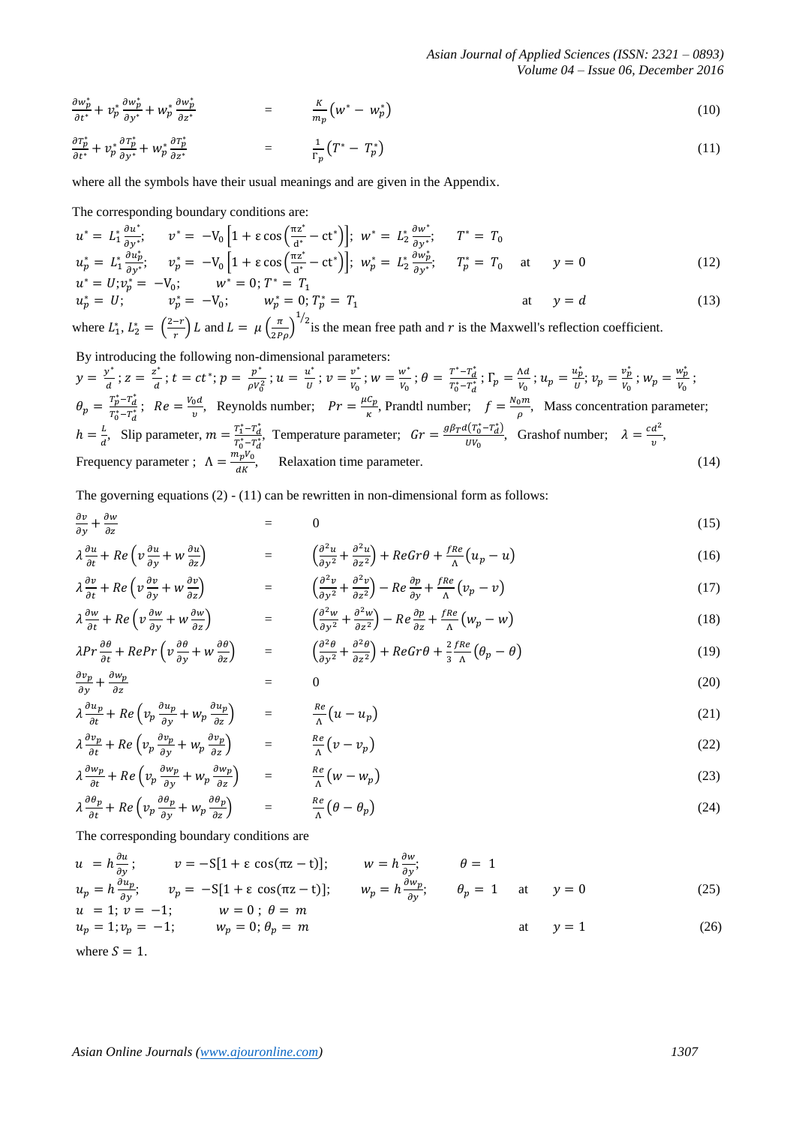*Asian Journal of Applied Sciences (ISSN: 2321 – 0893) Volume 04 – Issue 06, December 2016*

$$
\frac{\partial w_p^*}{\partial t^*} + v_p^* \frac{\partial w_p^*}{\partial y^*} + w_p^* \frac{\partial w_p^*}{\partial z^*} = \frac{K}{m_p} \left( w^* - w_p^* \right) \tag{10}
$$

$$
\frac{\partial T_p^*}{\partial t^*} + v_p^* \frac{\partial T_p^*}{\partial y^*} + w_p^* \frac{\partial T_p^*}{\partial z^*} = \frac{1}{\Gamma_p} \left( T^* - T_p^* \right) \tag{11}
$$

where all the symbols have their usual meanings and are given in the Appendix.

The corresponding boundary conditions are:

$$
u^* = L_1^* \frac{\partial u^*}{\partial y^*}; \qquad v^* = -V_0 \left[ 1 + \varepsilon \cos \left( \frac{\pi z^*}{d^*} - ct^* \right) \right]; \ w^* = L_2^* \frac{\partial w^*}{\partial y^*}; \qquad T^* = T_0
$$
  
\n
$$
u_p^* = L_1^* \frac{\partial u_p^*}{\partial y^*}; \qquad v_p^* = -V_0 \left[ 1 + \varepsilon \cos \left( \frac{\pi z^*}{d^*} - ct^* \right) \right]; \ w_p^* = L_2^* \frac{\partial w_p^*}{\partial y^*}; \qquad T_p^* = T_0 \qquad \text{at} \qquad y = 0
$$
  
\n
$$
u^* = U_1 u^{*} - U_2 u^{*}.
$$
 (12)

$$
u^* = U; v_p^* = -V_0; \t w^* = 0; T^* = T_1
$$
  
\n
$$
u_p^* = U; \t v_p^* = -V_0; \t w_p^* = 0; T_p^* = T_1
$$
  
\n
$$
u_p^* = U; \t v_p^* = -V_0; \t w_p^* = 0; T_p^* = T_1
$$
  
\n
$$
u_p^* = U; \t v_p^* = -V_0; \t w_p^* = 0; T_p^* = T_1
$$
  
\n
$$
u_p^* = U; \t v_p^* = -V_0; \t w_p^* = 0; T_p^* = T_1
$$

where  $L_1^*$ ,  $L_2^* = \left(\frac{2}{\pi}\right)$  $\left(\frac{-r}{r}\right)L$  and  $L = \mu \left(\frac{\pi}{2P}\right)$  $\overline{c}$  $\frac{1}{2}$  is the mean free path and r is the Maxwell's reflection coefficient.

By introducing the following non-dimensional parameters:  $y = \frac{y^*}{4}$  $\frac{y^*}{d}$ ;  $z = \frac{z^*}{d}$  $\frac{z^*}{d}$ ;  $t = ct^*$ ;  $p = \frac{p^*}{\rho V_0}$  $\frac{p^*}{\rho V_0^2}$ ;  $u = \frac{u^*}{U}$  $\frac{u^*}{U}$ ;  $v = \frac{v^*}{V_0}$  $\frac{v^*}{V_0}$  ;  $w = \frac{w}{V_0}$  $\frac{w^*}{V_0}$ ;  $\theta = \frac{T^* - T_d^*}{T_0^* - T_d^*}$  $\frac{T^*-T_d^*}{T_0^*-T_d^*}$ ;  $\Gamma_p = \frac{\Lambda}{V}$  $\frac{\Lambda d}{V_0}$ ;  $u_p = \frac{u_p^*}{U}$  $\frac{u_p^*}{U}$ ;  $v_p = \frac{v_p^*}{V_0}$  $\frac{v_p^*}{v_0}$ ;  $w_p = \frac{w_p^*}{v_0}$  $\frac{np}{V_0}$ ;  $\theta_p = \frac{T_p^* - T_d^*}{T_m^* - T_m^*}$  $\frac{T_p^* - T_d^*}{T_0^* - T_d^*}; \ \ Re = \frac{V_d}{T}$  $\frac{\partial u}{\partial v}$ , Reynolds number;  $Pr = \frac{\mu}{v}$  $\frac{c_p}{\kappa}$ , Prandtl number;  $f = \frac{N}{\kappa}$  $\frac{\partial m}{\partial}$ , Mass concentration parameter;  $h=\frac{L}{a}$  $\frac{L}{d}$ , Slip parameter,  $m = \frac{T_1^* - T_d^*}{T_0^* - T_d^*}$  $\frac{T_1^* - T_d^*}{T_0^* - T_d^*}$ , Temperature parameter;  $Gr = \frac{g\beta_T d(T_0^* - T_d^*)}{UV_0}$  $\frac{d(T_0^* - T_d^*)}{dV_0}$ , Grashof number;  $\lambda = \frac{cd^2}{v}$  $\frac{u}{v}$ , Frequency parameter ;  $\Lambda = \frac{m}{r}$  $\frac{\mu_{p}v_{0}}{dK}$ , Relaxation time parameter. (14)

The governing equations  $(2) - (11)$  can be rewritten in non-dimensional form as follows:

$$
\frac{\partial v}{\partial y} + \frac{\partial w}{\partial z} = 0 \tag{15}
$$

$$
\lambda \frac{\partial u}{\partial t} + Re \left( v \frac{\partial u}{\partial y} + w \frac{\partial u}{\partial z} \right) = \left( \frac{\partial^2 u}{\partial y^2} + \frac{\partial^2 u}{\partial z^2} \right) + Re Gr \theta + \frac{f Re}{\Lambda} \left( u_p - u \right)
$$
(16)

$$
\lambda \frac{\partial v}{\partial t} + Re \left( v \frac{\partial v}{\partial y} + w \frac{\partial v}{\partial z} \right) = \left( \frac{\partial^2 v}{\partial y^2} + \frac{\partial^2 v}{\partial z^2} \right) - Re \frac{\partial p}{\partial y} + \frac{fRe}{\Lambda} \left( v_p - v \right)
$$
(17)

$$
\lambda \frac{\partial w}{\partial t} + Re \left( v \frac{\partial w}{\partial y} + w \frac{\partial w}{\partial z} \right) = \left( \frac{\partial^2 w}{\partial y^2} + \frac{\partial^2 w}{\partial z^2} \right) - Re \frac{\partial p}{\partial z} + \frac{fRe}{\Lambda} \left( w_p - w \right)
$$
(18)

$$
\lambda Pr \frac{\partial \theta}{\partial t} + RePr \left( v \frac{\partial \theta}{\partial y} + w \frac{\partial \theta}{\partial z} \right) = \left( \frac{\partial^2 \theta}{\partial y^2} + \frac{\partial^2 \theta}{\partial z^2} \right) + ReGr \theta + \frac{2}{3} \frac{fRe}{\Lambda} \left( \theta_p - \theta \right)
$$
(19)

$$
\frac{\partial v_p}{\partial y} + \frac{\partial w_p}{\partial z} = 0 \tag{20}
$$

$$
\lambda \frac{\partial u_p}{\partial t} + Re \left( v_p \frac{\partial u_p}{\partial y} + w_p \frac{\partial u_p}{\partial z} \right) = \frac{Re}{\Lambda} \left( u - u_p \right)
$$
 (21)

$$
\lambda \frac{\partial v_p}{\partial t} + Re \left( v_p \frac{\partial v_p}{\partial y} + w_p \frac{\partial v_p}{\partial z} \right) = \frac{Re}{\Lambda} \left( v - v_p \right)
$$
(22)

$$
\lambda \frac{\partial w_p}{\partial t} + Re \left( v_p \frac{\partial w_p}{\partial y} + w_p \frac{\partial w_p}{\partial z} \right) = \frac{Re}{\Lambda} \left( w - w_p \right)
$$
(23)

$$
\lambda \frac{\partial \theta_p}{\partial t} + Re \left( v_p \frac{\partial \theta_p}{\partial y} + w_p \frac{\partial \theta_p}{\partial z} \right) = \frac{Re}{\Lambda} \left( \theta - \theta_p \right)
$$
 (24)

The corresponding boundary conditions are

$$
u = h \frac{\partial u}{\partial y}; \qquad v = -S[1 + \varepsilon \cos(\pi z - t)]; \qquad w = h \frac{\partial w}{\partial y}; \qquad \theta = 1
$$
  
\n
$$
u_p = h \frac{\partial u_p}{\partial y}; \qquad v_p = -S[1 + \varepsilon \cos(\pi z - t)]; \qquad w_p = h \frac{\partial w_p}{\partial y}; \qquad \theta_p = 1 \quad \text{at} \qquad y = 0
$$
\n(25)

$$
u = 1; v = -1; \t w = 0; \theta = m\n up = 1; vp = -1; \t wp = 0; \thetap = m \t at \t y = 1 \t (26)
$$

where  $S = 1$ .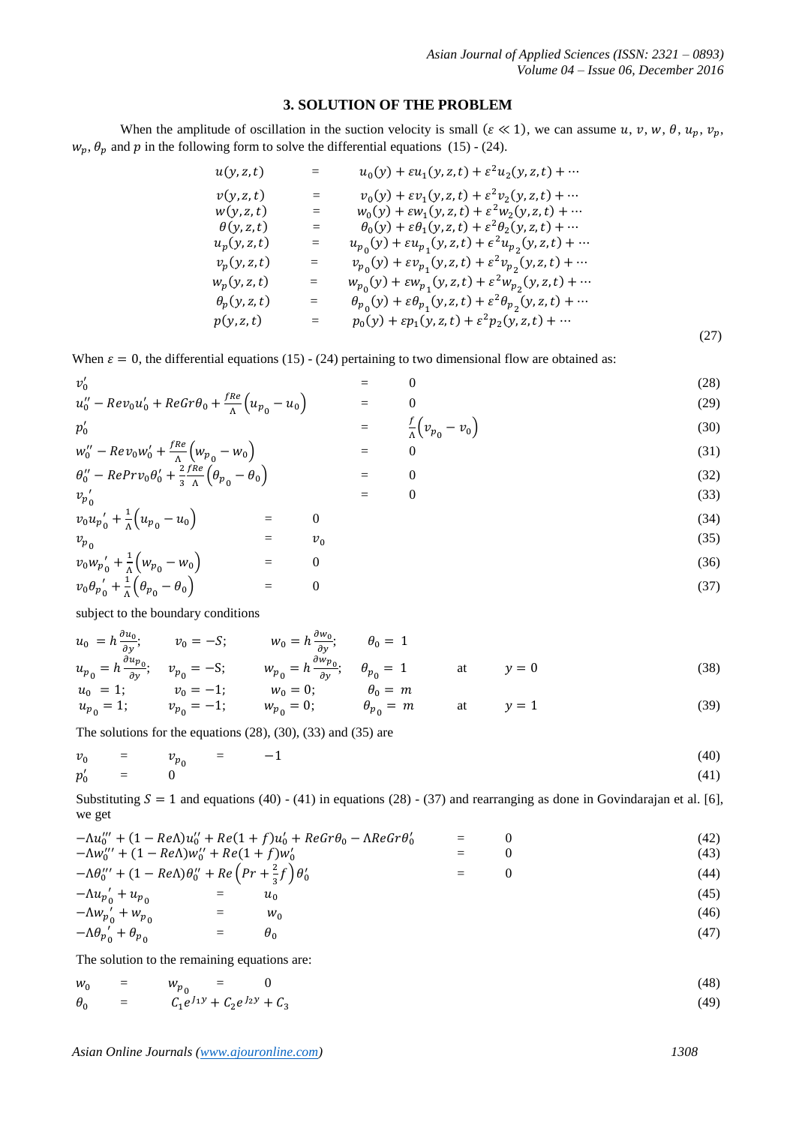# **3. SOLUTION OF THE PROBLEM**

When the amplitude of oscillation in the suction velocity is small ( $\varepsilon \ll 1$ ), we can assume  $u, v, w, \theta, u_n, v_n$ ,  $w_p$ ,  $\theta_p$  and p in the following form to solve the differential equations (15) - (24).

| u(y, z, t)          |     | $u_0(y) + \varepsilon u_1(y, z, t) + \varepsilon^2 u_2(y, z, t) + \cdots$                            |      |
|---------------------|-----|------------------------------------------------------------------------------------------------------|------|
| v(y, z, t)          | $=$ | $v_0(y) + \varepsilon v_1(y, z, t) + \varepsilon^2 v_2(y, z, t) + \cdots$                            |      |
| w(y, z, t)          | $=$ | $w_0(y) + \varepsilon w_1(y, z, t) + \varepsilon^2 w_2(y, z, t) + \cdots$                            |      |
| $\theta(y, z, t)$   | $=$ | $\theta_0(y) + \varepsilon \theta_1(y, z, t) + \varepsilon^2 \theta_2(y, z, t) + \cdots$             |      |
| $u_p(y, z, t)$      |     | $u_{p_0}(y) + \varepsilon u_{p_1}(y, z, t) + \epsilon^2 u_{p_2}(y, z, t) + \cdots$                   |      |
| $v_p(y, z, t)$      | $=$ | $v_{p_0}(y) + \varepsilon v_{p_1}(y, z, t) + \varepsilon^2 v_{p_2}(y, z, t) + \cdots$                |      |
| $W_p(y, z, t)$      | $=$ | $w_{p_0}(y) + \varepsilon w_{p_1}(y, z, t) + \varepsilon^2 w_{p_2}(y, z, t) + \cdots$                |      |
| $\theta_p(y, z, t)$ | $=$ | $\theta_{p_0}(y) + \varepsilon \theta_{p_1}(y, z, t) + \varepsilon^2 \theta_{p_2}(y, z, t) + \cdots$ |      |
| p(y, z, t)          | $=$ | $p_0(y) + \varepsilon p_1(y, z, t) + \varepsilon^2 p_2(y, z, t) + \cdots$                            |      |
|                     |     |                                                                                                      | (27) |

When  $\varepsilon = 0$ , the differential equations (15) - (24) pertaining to two dimensional flow are obtained as:

$$
v'_{0} = 0
$$
 (28)  
\n
$$
u''_{0} - Rev_{0}u'_{0} + RecTr\theta_{0} + \frac{fRe}{\Lambda}(u_{p_{0}} - u_{0}) = 0
$$
 (29)  
\n
$$
f(u_{0} - u_{0}) = 0
$$
 (29)

$$
p'_0 = \frac{1}{\Lambda} \Big( v_{p_0} - v_0 \Big) \tag{30}
$$
  

$$
w''_0 - Rev_0 w'_0 + \frac{fRe}{\Lambda} \Big( w_{p_0} - w_0 \Big) = 0 \tag{31}
$$

$$
w''_0 - Rev_0 w'_0 + \frac{I \kappa}{\Lambda} \left( w_{p_0} - w_0 \right) = 0
$$
\n(31)  
\n
$$
\theta''_0 - Repr v_0 \theta'_0 + \frac{2}{3} \frac{f Re}{\Lambda} \left( \theta_{p_0} - \theta_0 \right) = 0
$$
\n(32)  
\n
$$
v_{p'_0} \tag{33}
$$

$$
\begin{array}{ccc}\nv_0 u_{p'_0} + \frac{1}{\Lambda} \left( u_{p_0} - u_0 \right) & = & 0 \\
v_{p_0} & = & v_0\n\end{array} \tag{34}
$$

$$
\begin{array}{ccc}\n \nu_0 & \nu_0' + \frac{1}{\Lambda} \left( w_{p_0} - w_0 \right) & = & 0 \\
 v_0 & \nu_0' + \frac{1}{\Lambda} \left( \theta_{p_0} - \theta_0 \right) & = & 0\n \end{array}\n \tag{36}
$$

subject to the boundary conditions

$$
u_0 = h \frac{\partial u_0}{\partial y}; \t v_0 = -S; \t w_0 = h \frac{\partial w_0}{\partial y}; \t \theta_0 = 1\n u_{p_0} = h \frac{\partial u_{p_0}}{\partial y}; \t v_{p_0} = -S; \t w_{p_0} = h \frac{\partial w_{p_0}}{\partial y}; \t \theta_{p_0} = 1\n u_0 = 1; \t v_0 = -1; \t w_0 = 0; \t \theta_0 = m\n u_{p_0} = 1; \t v_{p_0} = -1; \t w_{p_0} = 0; \t \theta_{p_0} = m \t at \t y = 1
$$
\n(39)

The solutions for the equations (28), (30), (33) and (35) are

$$
\begin{array}{ccc}\nv_0 & = & v_{p_0} & = & -1 \\
p'_0 & = & 0 & & (41)\n\end{array}
$$

Substituting  $S = 1$  and equations (40) - (41) in equations (28) - (37) and rearranging as done in Govindarajan et al. [6], we get

|                                                                                                                                      |     | $-\Lambda u_0'' + (1 - Re\Lambda)u_0'' + Re(1 + f)u_0' + ReGr\theta_0 - \Lambda ReGr\theta_0'$ | $=$ | (42) |
|--------------------------------------------------------------------------------------------------------------------------------------|-----|------------------------------------------------------------------------------------------------|-----|------|
| $-\Lambda w_0''' + (1 - Re\Lambda)w_0'' + Re(1 + f)w_0'$                                                                             |     |                                                                                                |     | (43) |
| $-\Lambda\theta_0^{\prime\prime\prime} + (1 - Re\Lambda)\theta_0^{\prime\prime} + Re\left(Pr + \frac{2}{3}f\right)\theta_0^{\prime}$ |     |                                                                                                | $=$ | (44) |
| $-\Lambda u_{p'_0} + u_{p_0}$                                                                                                        | $=$ | $u_{0}$                                                                                        |     | (45) |
| $-Mw_{p'_0} + w_{p_0}$                                                                                                               |     | $W_0$                                                                                          |     | (46) |
| $-\Lambda \theta_{p_0}^{\prime} + \theta_{p_0}$                                                                                      | $=$ | $\theta_0$                                                                                     |     | (47) |

The solution to the remaining equations are:

$$
\begin{array}{rcl}\nw_0 & = & w_{p_0} & = & 0 \\
\theta_0 & = & C_1 e^{J_1 y} + C_2 e^{J_2 y} + C_3\n\end{array} \tag{48}
$$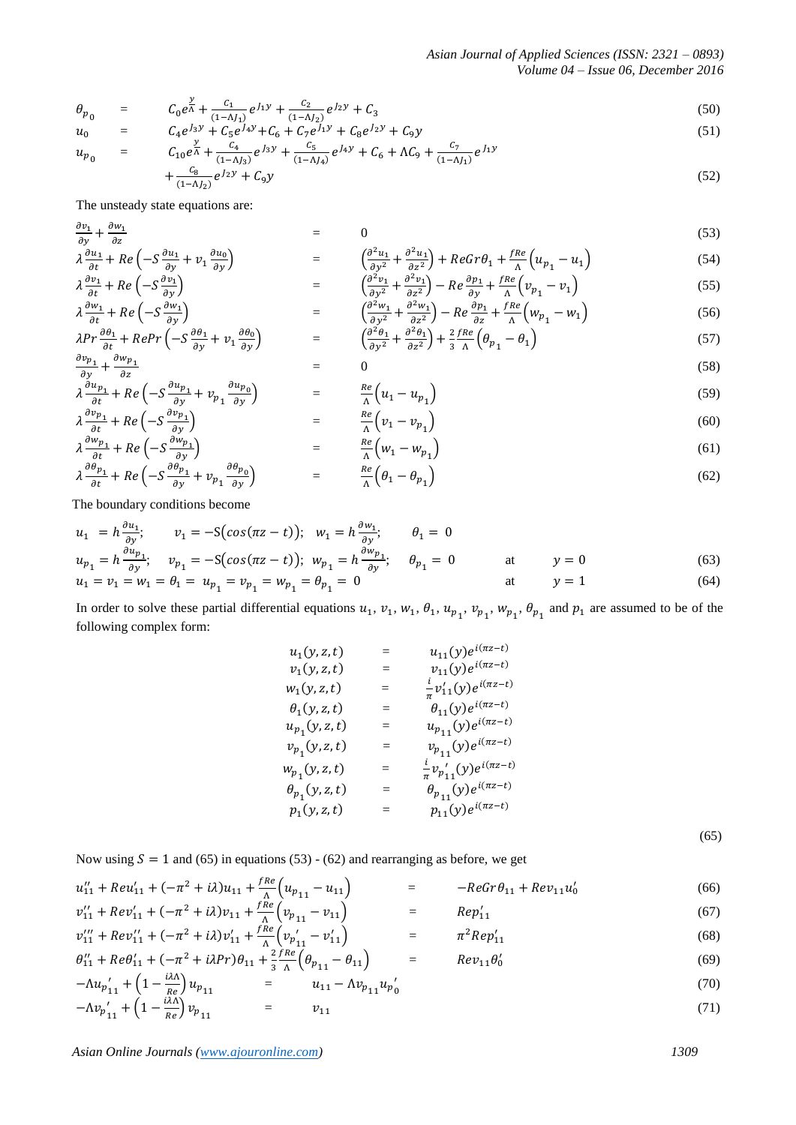$$
\theta_{p_0} = C_0 e^{\frac{y}{\Lambda}} + \frac{c_1}{(1-\Lambda J_1)} e^{J_1 y} + \frac{c_2}{(1-\Lambda J_2)} e^{J_2 y} + C_3 \tag{50}
$$

$$
u_0 = C_4 e^{\int_3 y} + C_5 e^{\int_4 y} + C_6 + C_7 e^{\int_1 y} + C_8 e^{\int_2 y} + C_9 y \tag{51}
$$

$$
u_{p_0} = C_{10}e^{\frac{y}{\Lambda}} + \frac{c_4}{(1-\Lambda J_3)}e^{J_3y} + \frac{c_5}{(1-\Lambda J_4)}e^{J_4y} + C_6 + \Lambda C_9 + \frac{c_7}{(1-\Lambda J_1)}e^{J_1y} + \frac{c_8}{(1-\Lambda J_2)}e^{J_2y} + C_9y \tag{52}
$$

The unsteady state equations are:

$$
\frac{\partial v_1}{\partial y} + \frac{\partial w_1}{\partial z} = 0 \tag{53}
$$

$$
\lambda \frac{\partial u_1}{\partial t} + Re\left(-S\frac{\partial u_1}{\partial y} + v_1 \frac{\partial u_0}{\partial y}\right) = \begin{pmatrix} \frac{\partial^2 u_1}{\partial y^2} + \frac{\partial^2 u_1}{\partial z^2} + ReGr\theta_1 + \frac{fRe}{\Lambda}\left(u_{p_1} - u_1\right) \\ \frac{\partial v_1}{\partial x} + Re\left(-S\frac{\partial v_1}{\partial x}\right) & = \begin{pmatrix} \frac{\partial^2 v_1}{\partial x^2} + \frac{\partial^2 v_1}{\partial z^2} - Re\frac{\partial v_1}{\partial x} + \frac{fRe}{\Lambda}\left(v_{p_1} - v_1\right) \\ \frac{\partial^2 v_1}{\partial x} + \frac{\partial^2 v_1}{\partial x^2} - Re\frac{\partial v_1}{\partial x} + \frac{fRe}{\Lambda}\left(v_{p_1} - v_1\right) \end{pmatrix} \tag{55}
$$

$$
\lambda \frac{\partial v_1}{\partial t} + Re \left( -S \frac{\partial v_1}{\partial y} \right) = \left( \frac{\partial^2 v_1}{\partial y^2} + \frac{\partial^2 v_1}{\partial z^2} \right) - Re \frac{\partial p_1}{\partial y} + \frac{fRe}{\Lambda} \left( v_{p_1} - v_1 \right)
$$
(55)  

$$
\lambda \frac{\partial w_1}{\partial t} + Re \left( -S \frac{\partial w_1}{\partial y} \right) = \left( \frac{\partial^2 w_1}{\partial y^2} + \frac{\partial^2 w_1}{\partial z^2} \right) - Re \frac{\partial p_1}{\partial z} + \frac{fRe}{\Lambda} \left( w_{p_1} - w_1 \right)
$$
(56)

$$
\lambda Pr \frac{\partial \theta_1}{\partial t} + Repr \left( -S \frac{\partial \theta_1}{\partial y} + v_1 \frac{\partial \theta_0}{\partial y} \right) = \left( \frac{\partial^2 \theta_1}{\partial y^2} + \frac{\partial^2 \theta_1}{\partial z^2} \right) + \frac{2}{3} \frac{fRe}{\Lambda} \left( \theta_{p_1} - \theta_1 \right)
$$
(57)

$$
\frac{\partial v_{p_1}}{\partial y} + \frac{\partial w_{p_1}}{\partial z} = 0 \tag{58}
$$

$$
\lambda \frac{\partial u_{p_1}}{\partial t} + Re\left(-S\frac{\partial u_{p_1}}{\partial y} + v_{p_1}\frac{\partial u_{p_0}}{\partial y}\right) = \frac{Re}{\Lambda} \left(u_1 - u_{p_1}\right)
$$
(59)

$$
\lambda \frac{\partial v_{p_1}}{\partial t} + Re \left( -S \frac{\partial v_{p_1}}{\partial y} \right) = \frac{\lambda e}{\lambda} \left( v_1 - v_{p_1} \right)
$$
(60)  

$$
\lambda \frac{\partial w_{p_1}}{\partial t} + Re \left( -S \frac{\partial w_{p_1}}{\partial y} \right)
$$
(61)

$$
\lambda \frac{\partial \theta_{p_1}}{\partial t} + Re \left( -S \frac{\partial \theta_{p_1}}{\partial y} + v_{p_1} \frac{\partial \theta_{p_0}}{\partial y} \right) = \frac{Re}{\Lambda} \left( \theta_1 - \theta_{p_1} \right)
$$
(62)

The boundary conditions become

$$
u_1 = h \frac{\partial u_1}{\partial y}; \qquad v_1 = -S(\cos(\pi z - t)); \quad w_1 = h \frac{\partial w_1}{\partial y}; \qquad \theta_1 = 0
$$
  
\n
$$
u_{p_1} = h \frac{\partial u_{p_1}}{\partial y}; \qquad v_{p_1} = -S(\cos(\pi z - t)); \quad w_{p_1} = h \frac{\partial w_{p_1}}{\partial y}; \qquad \theta_{p_1} = 0 \qquad \text{at} \qquad y = 0
$$
  
\n
$$
u_1 = v_1 = w_1 = \theta_1 = u_{p_1} = v_{p_1} = w_{p_1} = \theta_{p_1} = 0 \qquad \text{at} \qquad y = 1 \qquad (64)
$$

In order to solve these partial differential equations  $u_1$ ,  $v_1$ ,  $w_1$ ,  $\theta_1$ ,  $u_{p_1}$ ,  $v_{p_2}$ ,  $w_{p_3}$ ,  $\theta_{p_4}$  and  $p_1$  are assumed to be of the following complex form:

$$
u_{1}(y, z, t) = u_{11}(y)e^{i(\pi z - t)}
$$
  
\n
$$
v_{1}(y, z, t) = v_{11}(y)e^{i(\pi z - t)}
$$
  
\n
$$
\theta_{1}(y, z, t) = \theta_{11}(y)e^{i(\pi z - t)}
$$
  
\n
$$
u_{p_{1}}(y, z, t) = u_{p_{11}}(y)e^{i(\pi z - t)}
$$
  
\n
$$
v_{p_{1}}(y, z, t) = v_{p_{11}}(y)e^{i(\pi z - t)}
$$
  
\n
$$
w_{p_{1}}(y, z, t) = v_{p_{11}}(y)e^{i(\pi z - t)}
$$
  
\n
$$
\theta_{p_{1}}(y, z, t) = \frac{i}{\pi}v_{p_{11}}(y)e^{i(\pi z - t)}
$$
  
\n
$$
\theta_{p_{1}}(y, z, t) = \theta_{p_{11}}(y)e^{i(\pi z - t)}
$$
  
\n
$$
p_{1}(y, z, t) = p_{11}(y)e^{i(\pi z - t)}
$$

(65)

Now using  $S = 1$  and (65) in equations (53) - (62) and rearranging as before, we get

$$
u_{11}'' + Rev_{11}' + (-\pi^2 + i\lambda)u_{11} + \frac{fRe}{\Lambda}\left(u_{p_{11}} - u_{11}\right) = -ReGr\theta_{11} + Rev_{11}u_0'
$$
(66)  

$$
v_{11}'' + Rev_{11}' + (-\pi^2 + i\lambda)v_{11} + \frac{fRe}{\Lambda}\left(v_{p_{11}} - v_{11}\right) = Rep_{11}'
$$
(67)

$$
v_{11}^{\prime\prime\prime} + Rev_{11}^{\prime\prime} + (-\pi^2 + i\lambda)v_{11}^{\prime} + \frac{fRe}{\Lambda} \left(v_{p_{11}^{\prime}} - v_{11}^{\prime}\right) = \pi^2 Rep_{11}^{\prime}
$$
 (68)

$$
\theta_{11}^{"} + Re\theta_{11}^{\prime} + (-\pi^2 + i\lambda Pr)\theta_{11} + \frac{2 fRe}{\lambda} \left(\theta_{p_{11}} - \theta_{11}\right) = Re v_{11} \theta_0^{\prime}
$$
\n(69)

$$
-\Lambda u_{p_{11}}^{\prime} + \left(1 - \frac{\Lambda \Lambda}{Re}\right) u_{p_{11}} = u_{11} - \Lambda v_{p_{11}} u_{p_0}^{\prime}
$$
\n(70)

$$
-\Lambda v_{p'_{11}} + \left(1 - \frac{\mu \Lambda}{Re}\right) v_{p_{11}} = v_{11} \tag{71}
$$

*Asian Online Journals [\(www.ajouronline.com\)](http://www.ajouronline.com/) 1309*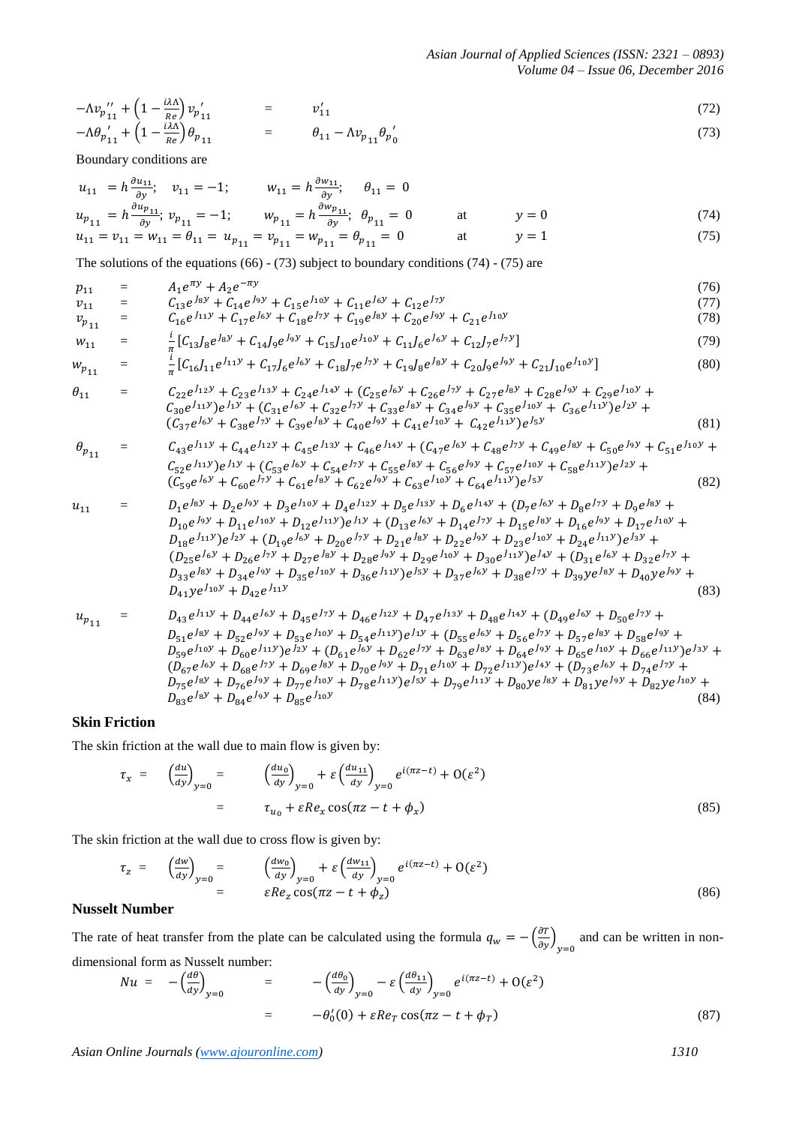$$
-\Lambda v_{p_{11}}'' + (1 - \frac{i\lambda\Lambda}{Re}) v_{p_{11}}' = v_{11}'
$$
  
\n
$$
-\Lambda \theta_{p_{11}}' + (1 - \frac{i\lambda\Lambda}{Re}) \theta_{p_{11}} = \theta_{11} - \Lambda v_{p_{11}} \theta_{p_{0}}'
$$
\n(72)

Boundary conditions are

$$
u_{11} = h \frac{\partial u_{11}}{\partial y}; \quad v_{11} = -1; \qquad w_{11} = h \frac{\partial w_{11}}{\partial y}; \quad \theta_{11} = 0
$$
  
\n
$$
u_{p_{11}} = h \frac{\partial u_{p_{11}}}{\partial y}; \quad v_{p_{11}} = -1; \qquad w_{p_{11}} = h \frac{\partial w_{p_{11}}}{\partial y}; \quad \theta_{p_{11}} = 0 \qquad \text{at} \qquad y = 0
$$
  
\n
$$
u_{11} = v_{11} = w_{11} = \theta_{11} = u_{p_{11}} = v_{p_{11}} = w_{p_{11}} = \theta_{p_{11}} = 0 \qquad \text{at} \qquad y = 1
$$
\n(74)

The solutions of the equations (66) - (73) subject to boundary conditions (74) - (75) are

$$
p_{11} = A_1 e^{\pi y} + A_2 e^{-\pi y}
$$
  
\n
$$
p_{11} = C_{12} e^{\int s y} + C_{14} e^{\int s y} + C_{15} e^{\int t y} + C_{11} e^{\int s y} + C_{12} e^{\int t y}
$$
 (76)

$$
v_{p_{11}} = C_{16}e^{J_{11}y} + C_{17}e^{J_{6}y} + C_{18}e^{J_{7}y} + C_{19}e^{J_{8}y} + C_{20}e^{J_{9}y} + C_{21}e^{J_{10}y}
$$
\n(78)

$$
w_{11} = \frac{i}{\pi} \left[ C_{13} J_8 e^{J_8 y} + C_{14} J_9 e^{J_9 y} + C_{15} J_{10} e^{J_{10} y} + C_{11} J_6 e^{J_6 y} + C_{12} J_7 e^{J_7 y} \right]
$$
(79)

$$
w_{p_{11}} = \frac{i}{\pi} [C_{16}J_{11}e^{J_{11}y} + C_{17}J_6e^{J_6y} + C_{18}J_7e^{J_7y} + C_{19}J_8e^{J_8y} + C_{20}J_9e^{J_9y} + C_{21}J_{10}e^{J_{10}y}]
$$
(80)

$$
\theta_{11} = C_{22}e^{J_{12}y} + C_{23}e^{J_{13}y} + C_{24}e^{J_{14}y} + (C_{25}e^{J_{6}y} + C_{26}e^{J_{7}y} + C_{27}e^{J_{8}y} + C_{28}e^{J_{9}y} + C_{29}e^{J_{10}y} + C_{30}e^{J_{11}y})e^{J_{1}y} + (C_{31}e^{J_{6}y} + C_{32}e^{J_{7}y} + C_{33}e^{J_{8}y} + C_{34}e^{J_{9}y} + C_{35}e^{J_{10}y} + C_{36}e^{J_{11}y})e^{J_{2}y} + (C_{37}e^{J_{6}y} + C_{38}e^{J_{7}y} + C_{39}e^{J_{8}y} + C_{40}e^{J_{9}y} + C_{41}e^{J_{10}y} + C_{42}e^{J_{11}y})e^{J_{5}y}
$$
\n(81)

$$
\theta_{p_{11}} = C_{43}e^{J_{11}y} + C_{44}e^{J_{12}y} + C_{45}e^{J_{13}y} + C_{46}e^{J_{14}y} + (C_{47}e^{J_{6}y} + C_{48}e^{J_{7}y} + C_{49}e^{J_{8}y} + C_{50}e^{J_{9}y} + C_{51}e^{J_{10}y} + C_{52}e^{J_{11}y})e^{J_{1}y} + (C_{53}e^{J_{6}y} + C_{54}e^{J_{7}y} + C_{55}e^{J_{8}y} + C_{56}e^{J_{9}y} + C_{57}e^{J_{10}y} + C_{58}e^{J_{11}y})e^{J_{2}y} + (C_{59}e^{J_{6}y} + C_{60}e^{J_{7}y} + C_{61}e^{J_{8}y} + C_{62}e^{J_{9}y} + C_{63}e^{J_{10}y} + C_{64}e^{J_{11}y})e^{J_{5}y}
$$
\n(82)

$$
u_{11} = D_1 e^{J_8 y} + D_2 e^{J_9 y} + D_3 e^{J_{10} y} + D_4 e^{J_{12} y} + D_5 e^{J_{13} y} + D_6 e^{J_{14} y} + (D_7 e^{J_6 y} + D_8 e^{J_7 y} + D_9 e^{J_8 y} + D_{10} e^{J_9 y} + D_{11} e^{J_{10} y} + D_{12} e^{J_{11} y})e^{J_1 y} + (D_{13} e^{J_6 y} + D_{14} e^{J_7 y} + D_{15} e^{J_8 y} + D_{16} e^{J_9 y} + D_{17} e^{J_{10} y} + D_{18} e^{J_{11} y})e^{J_2 y} + (D_{19} e^{J_6 y} + D_{20} e^{J_7 y} + D_{21} e^{J_8 y} + D_{22} e^{J_9 y} + D_{23} e^{J_{10} y} + D_{24} e^{J_{11} y})e^{J_3 y} + (D_{25} e^{J_6 y} + D_{26} e^{J_7 y} + D_{27} e^{J_8 y} + D_{28} e^{J_9 y} + D_{29} e^{J_{10} y} + D_{30} e^{J_{11} y})e^{J_4 y} + (D_{31} e^{J_6 y} + D_{32} e^{J_7 y} + D_{33} e^{J_8 y} + D_{34} e^{J_9 y} + D_{35} e^{J_{10} y} + D_{36} e^{J_{11} y})e^{J_5 y} + D_{37} e^{J_6 y} + D_{38} e^{J_7 y} + D_{39} y e^{J_8 y} + D_{40} y e^{J_9 y} + D_{41} y e^{J_{10} y} + D_{42} e^{J_{11} y}
$$
\n(83)

$$
u_{p_{11}} = D_{43}e^{J_{11}y} + D_{44}e^{J_{6}y} + D_{45}e^{J_{7}y} + D_{46}e^{J_{12}y} + D_{47}e^{J_{13}y} + D_{48}e^{J_{14}y} + (D_{49}e^{J_{6}y} + D_{50}e^{J_{7}y} + D_{51}e^{J_{8}y} + D_{52}e^{J_{9}y} + D_{53}e^{J_{10}y} + D_{54}e^{J_{11}y})e^{J_{1}y} + (D_{55}e^{J_{6}y} + D_{56}e^{J_{7}y} + D_{57}e^{J_{8}y} + D_{58}e^{J_{9}y} + D_{58}e^{J_{10}y} + D_{60}e^{J_{11}y})e^{J_{2}y} + (D_{61}e^{J_{6}y} + D_{62}e^{J_{7}y} + D_{63}e^{J_{8}y} + D_{64}e^{J_{9}y} + D_{65}e^{J_{10}y} + D_{66}e^{J_{11}y})e^{J_{3}y} + (D_{67}e^{J_{6}y} + D_{68}e^{J_{7}y} + D_{66}e^{J_{11}y})e^{J_{8}y} + D_{76}e^{J_{8}y} + D_{76}e^{J_{8}y} + D_{70}e^{J_{8}y} + D_{70}e^{J_{9}y} + D_{71}e^{J_{10}y} + D_{72}e^{J_{11}y})e^{J_{4}y} + (D_{73}e^{J_{6}y} + D_{74}e^{J_{7}y} + D_{75}e^{J_{8}y} + D_{77}e^{J_{10}y} + D_{78}e^{J_{11}y})e^{J_{5}y} + D_{79}e^{J_{11}y} + D_{80}ye^{J_{8}y} + D_{81}ye^{J_{9}y} + D_{82}ye^{J_{10}y} + D_{83}e^{J_{8}y} + D_{84}e^{J_{9}y} + D_{85}e^{J_{10}y}
$$
\n(84)

#### **Skin Friction**

The skin friction at the wall due to main flow is given by:

$$
\tau_x = \left(\frac{du}{dy}\right)_{y=0} = \left(\frac{du_0}{dy}\right)_{y=0} + \varepsilon \left(\frac{du_{11}}{dy}\right)_{y=0} e^{i(\pi z - t)} + O(\varepsilon^2)
$$
\n
$$
= \tau_{u_0} + \varepsilon Re_x \cos(\pi z - t + \phi_x) \tag{85}
$$

The skin friction at the wall due to cross flow is given by:

$$
\tau_z = \left(\frac{dw}{dy}\right)_{y=0} = \left(\frac{dw_0}{dy}\right)_{y=0} + \varepsilon \left(\frac{dw_{11}}{dy}\right)_{y=0} e^{i(\pi z - t)} + O(\varepsilon^2)
$$
\n
$$
= \varepsilon Re_z \cos(\pi z - t + \phi_z)
$$
\n(86)

# **Nusselt Number**

The rate of heat transfer from the plate can be calculated using the formula  $q_w = -\left(\frac{\partial}{\partial x}\right)^2$  $\frac{\partial u}{\partial y}$  and can be written in nondimensional form as Nusselt number:

$$
Nu = -\left(\frac{d\theta}{dy}\right)_{y=0} = -\left(\frac{d\theta_0}{dy}\right)_{y=0} - \varepsilon \left(\frac{d\theta_{11}}{dy}\right)_{y=0} e^{i(\pi z - t)} + O(\varepsilon^2)
$$
  

$$
= -\theta_0'(0) + \varepsilon Re_T \cos(\pi z - t + \phi_T)
$$
(87)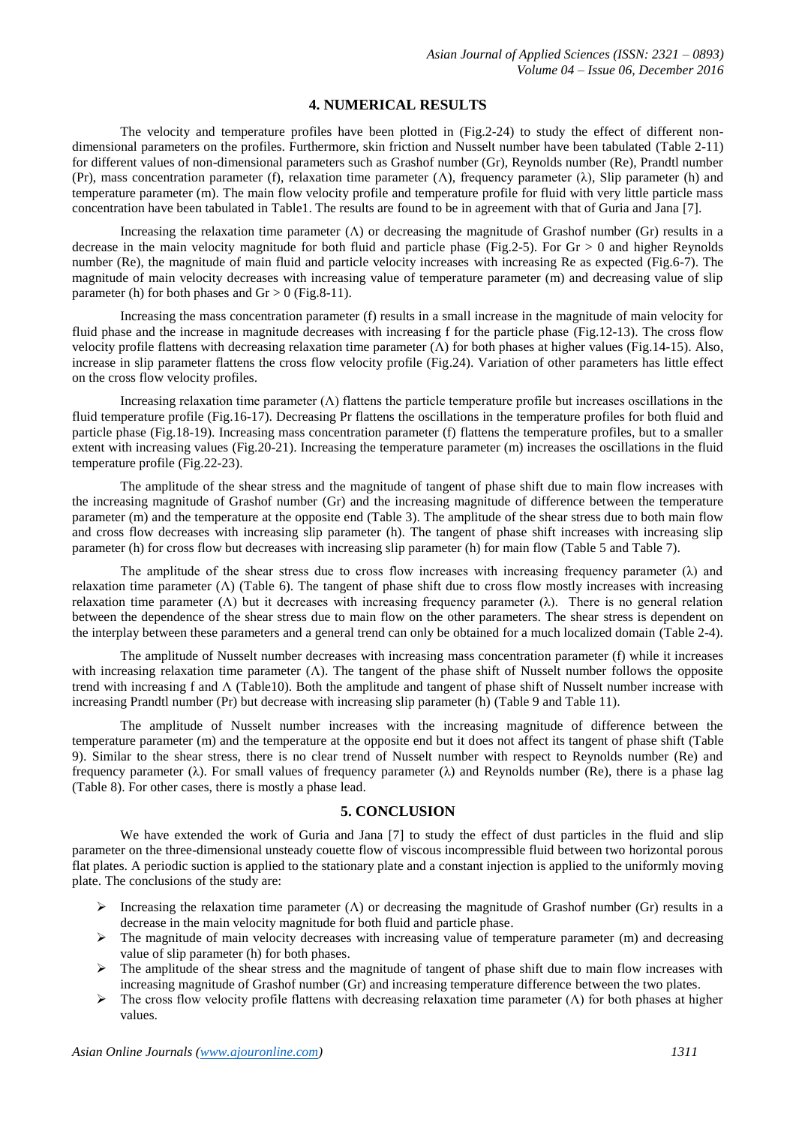#### **4. NUMERICAL RESULTS**

The velocity and temperature profiles have been plotted in (Fig.2-24) to study the effect of different nondimensional parameters on the profiles. Furthermore, skin friction and Nusselt number have been tabulated (Table 2-11) for different values of non-dimensional parameters such as Grashof number (Gr), Reynolds number (Re), Prandtl number (Pr), mass concentration parameter (f), relaxation time parameter ( $\Lambda$ ), frequency parameter ( $\lambda$ ), Slip parameter (h) and temperature parameter (m). The main flow velocity profile and temperature profile for fluid with very little particle mass concentration have been tabulated in Table1. The results are found to be in agreement with that of Guria and Jana [7].

Increasing the relaxation time parameter  $(Λ)$  or decreasing the magnitude of Grashof number (Gr) results in a decrease in the main velocity magnitude for both fluid and particle phase (Fig.2-5). For  $Gr > 0$  and higher Reynolds number (Re), the magnitude of main fluid and particle velocity increases with increasing Re as expected (Fig.6-7). The magnitude of main velocity decreases with increasing value of temperature parameter (m) and decreasing value of slip parameter (h) for both phases and  $Gr > 0$  (Fig.8-11).

Increasing the mass concentration parameter (f) results in a small increase in the magnitude of main velocity for fluid phase and the increase in magnitude decreases with increasing f for the particle phase (Fig.12-13). The cross flow velocity profile flattens with decreasing relaxation time parameter (Λ) for both phases at higher values (Fig.14-15). Also, increase in slip parameter flattens the cross flow velocity profile (Fig.24). Variation of other parameters has little effect on the cross flow velocity profiles.

Increasing relaxation time parameter  $(\Lambda)$  flattens the particle temperature profile but increases oscillations in the fluid temperature profile (Fig.16-17). Decreasing Pr flattens the oscillations in the temperature profiles for both fluid and particle phase (Fig.18-19). Increasing mass concentration parameter (f) flattens the temperature profiles, but to a smaller extent with increasing values (Fig.20-21). Increasing the temperature parameter (m) increases the oscillations in the fluid temperature profile (Fig.22-23).

The amplitude of the shear stress and the magnitude of tangent of phase shift due to main flow increases with the increasing magnitude of Grashof number (Gr) and the increasing magnitude of difference between the temperature parameter (m) and the temperature at the opposite end (Table 3). The amplitude of the shear stress due to both main flow and cross flow decreases with increasing slip parameter (h). The tangent of phase shift increases with increasing slip parameter (h) for cross flow but decreases with increasing slip parameter (h) for main flow (Table 5 and Table 7).

The amplitude of the shear stress due to cross flow increases with increasing frequency parameter  $(\lambda)$  and relaxation time parameter  $(\Lambda)$  (Table 6). The tangent of phase shift due to cross flow mostly increases with increasing relaxation time parameter (Λ) but it decreases with increasing frequency parameter (λ). There is no general relation between the dependence of the shear stress due to main flow on the other parameters. The shear stress is dependent on the interplay between these parameters and a general trend can only be obtained for a much localized domain (Table 2-4).

The amplitude of Nusselt number decreases with increasing mass concentration parameter (f) while it increases with increasing relaxation time parameter ( $\Lambda$ ). The tangent of the phase shift of Nusselt number follows the opposite trend with increasing f and Λ (Table10). Both the amplitude and tangent of phase shift of Nusselt number increase with increasing Prandtl number (Pr) but decrease with increasing slip parameter (h) (Table 9 and Table 11).

The amplitude of Nusselt number increases with the increasing magnitude of difference between the temperature parameter (m) and the temperature at the opposite end but it does not affect its tangent of phase shift (Table 9). Similar to the shear stress, there is no clear trend of Nusselt number with respect to Reynolds number (Re) and frequency parameter ( $\lambda$ ). For small values of frequency parameter ( $\lambda$ ) and Reynolds number (Re), there is a phase lag (Table 8). For other cases, there is mostly a phase lead.

## **5. CONCLUSION**

We have extended the work of Guria and Jana [7] to study the effect of dust particles in the fluid and slip parameter on the three-dimensional unsteady couette flow of viscous incompressible fluid between two horizontal porous flat plates. A periodic suction is applied to the stationary plate and a constant injection is applied to the uniformly moving plate. The conclusions of the study are:

- Increasing the relaxation time parameter ( $\Lambda$ ) or decreasing the magnitude of Grashof number (Gr) results in a decrease in the main velocity magnitude for both fluid and particle phase.
- $\triangleright$  The magnitude of main velocity decreases with increasing value of temperature parameter (m) and decreasing value of slip parameter (h) for both phases.
- $\triangleright$  The amplitude of the shear stress and the magnitude of tangent of phase shift due to main flow increases with increasing magnitude of Grashof number (Gr) and increasing temperature difference between the two plates.
- The cross flow velocity profile flattens with decreasing relaxation time parameter  $(Λ)$  for both phases at higher values.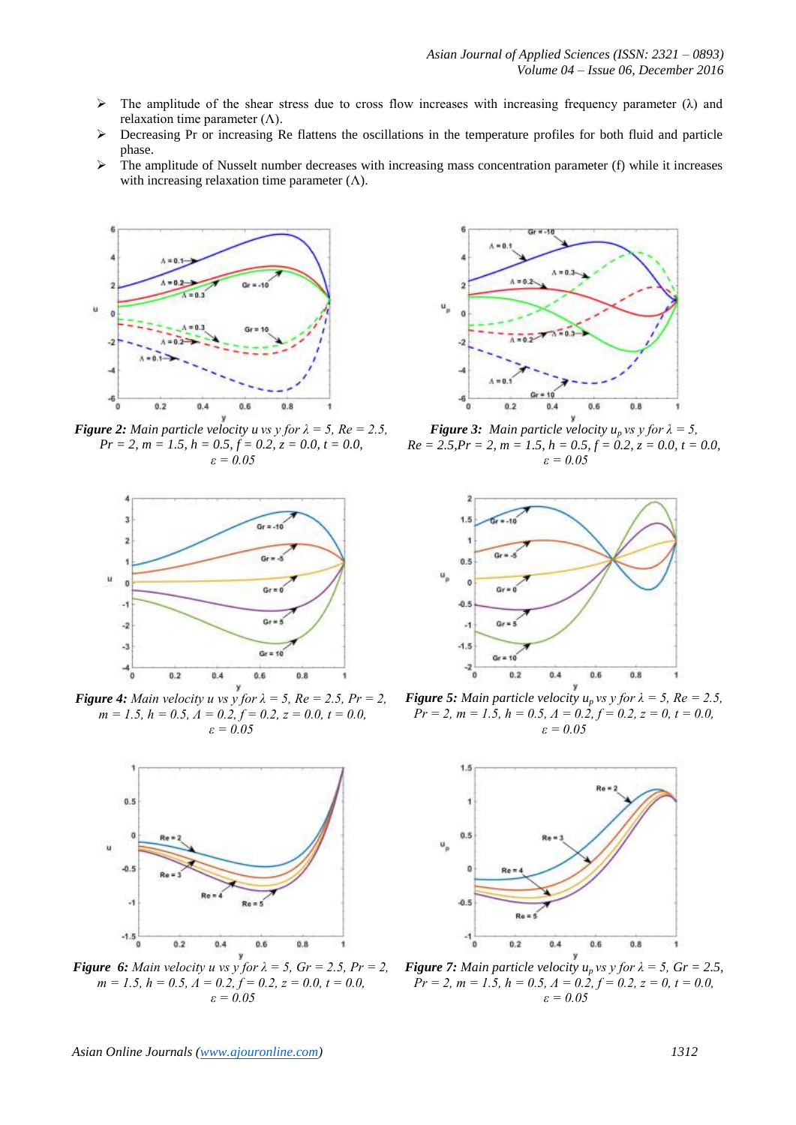- $\triangleright$  The amplitude of the shear stress due to cross flow increases with increasing frequency parameter ( $\lambda$ ) and relaxation time parameter  $(Λ)$ .
- $\triangleright$  Decreasing Pr or increasing Re flattens the oscillations in the temperature profiles for both fluid and particle phase.
- $\triangleright$  The amplitude of Nusselt number decreases with increasing mass concentration parameter (f) while it increases with increasing relaxation time parameter  $(Λ)$ .



*Figure 2: Main particle velocity u vs y for*  $\lambda = 5$ ,  $Re = 2.5$ , *Pr = 2, m = 1.5, h = 0.5, f = 0.2, z = 0.0, t = 0.0, ε = 0.05*



*Figure 4: Main velocity u vs y for*  $\lambda = 5$ ,  $Re = 2.5$ ,  $Pr = 2$ ,  $m = 1.5, h = 0.5, \Lambda = 0.2, f = 0.2, z = 0.0, t = 0.0,$ *ε = 0.05*



*Figure 6: Main velocity u vs y for*  $\lambda = 5$ ,  $Gr = 2.5$ ,  $Pr = 2$ , *m = 1.5, h = 0.5, Λ = 0.2, f = 0.2, z = 0.0, t = 0.0, ε = 0.05*



*Figure 3: Main particle velocity*  $u_p$  *vs y for*  $\lambda = 5$ *,*  $Re = 2.5, Pr = 2, m = 1.5, h = 0.5, f = 0.2, z = 0.0, t = 0.0,$ *ε = 0.05*



*Figure 5: Main particle velocity*  $u_p$  *vs y for*  $\lambda = 5$ *,*  $Re = 2.5$ *,*  $Pr = 2, m = 1.5, h = 0.5, \Delta = 0.2, f = 0.2, z = 0, t = 0.0,$ *ε = 0.05*



*Figure 7: Main particle velocity*  $u_p$  *vs y for*  $\lambda = 5$ ,  $Gr = 2.5$ , *Pr* = 2, *m* = 1.5,  $h = 0.5$ ,  $\Lambda = 0.2$ ,  $f = 0.2$ ,  $z = 0$ ,  $t = 0.0$ , *ε = 0.05*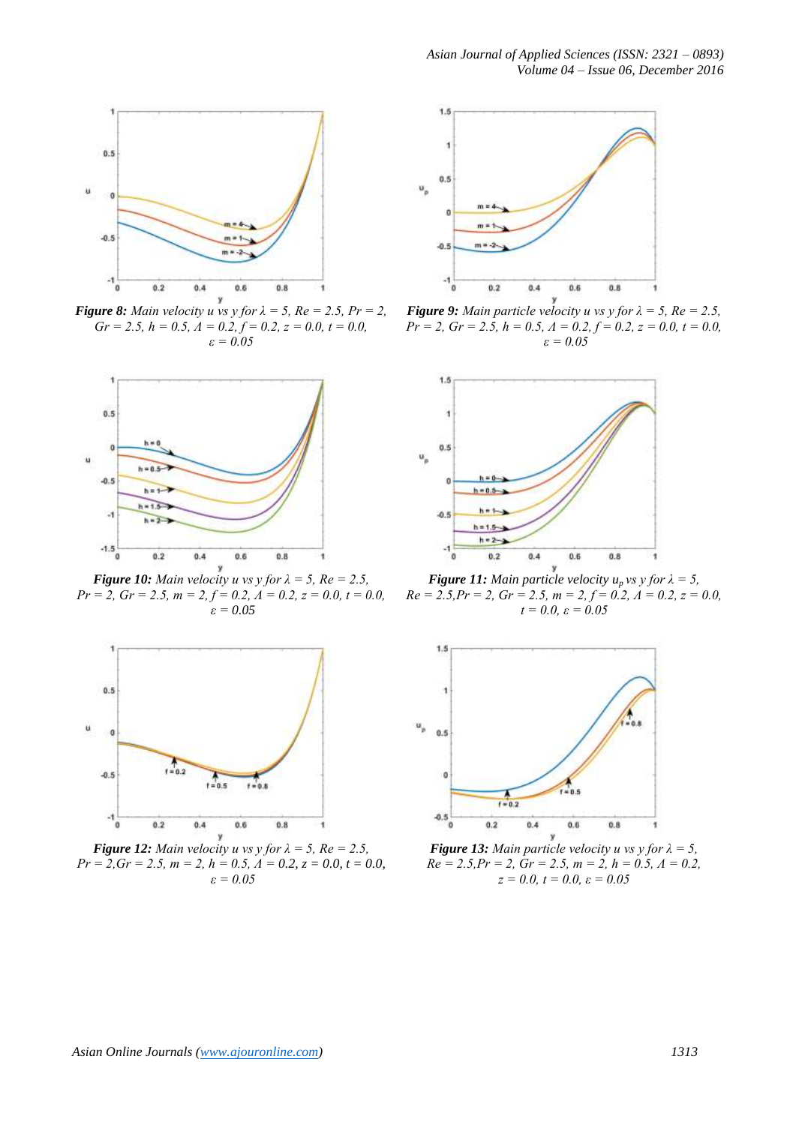

*Figure 8: Main velocity u vs y for*  $\lambda = 5$ ,  $Re = 2.5$ ,  $Pr = 2$ ,  $Gr = 2.5, h = 0.5, A = 0.2, f = 0.2, z = 0.0, t = 0.0,$ *ε = 0.05*



*Figure 10: Main velocity u vs y for*  $\lambda = 5$ ,  $Re = 2.5$ ,  $Pr = 2$ ,  $Gr = 2.5$ ,  $m = 2$ ,  $f = 0.2$ ,  $A = 0.2$ ,  $z = 0.0$ ,  $t = 0.0$ , *ε = 0.05*



*Figure 12: Main velocity u vs y for*  $\lambda = 5$ ,  $Re = 2.5$ , *Pr = 2,Gr = 2.5, m = 2, h = 0.5, Λ = 0.2, z = 0.0, t = 0.0, ε = 0.05*



*Figure 9: Main particle velocity u vs y for*  $\lambda = 5$ ,  $Re = 2.5$ , *Pr = 2, Gr = 2.5, h = 0.5, Λ = 0.2, f = 0.2, z = 0.0, t = 0.0, ε = 0.05*



*<i>Figure 11: Main particle velocity*  $u_p$  *vs*  $\gamma$  *for*  $\lambda = 5$ ,  $Re = 2.5, Pr = 2, Gr = 2.5, m = 2, f = 0.2, A = 0.2, z = 0.0,$ *t = 0.0, ε = 0.05*



*Figure 13: Main particle velocity u vs y for*  $\lambda = 5$ ,  $Re = 2.5, Pr = 2, Gr = 2.5, m = 2, h = 0.5, \Lambda = 0.2,$ *z = 0.0, t = 0.0, ε = 0.05*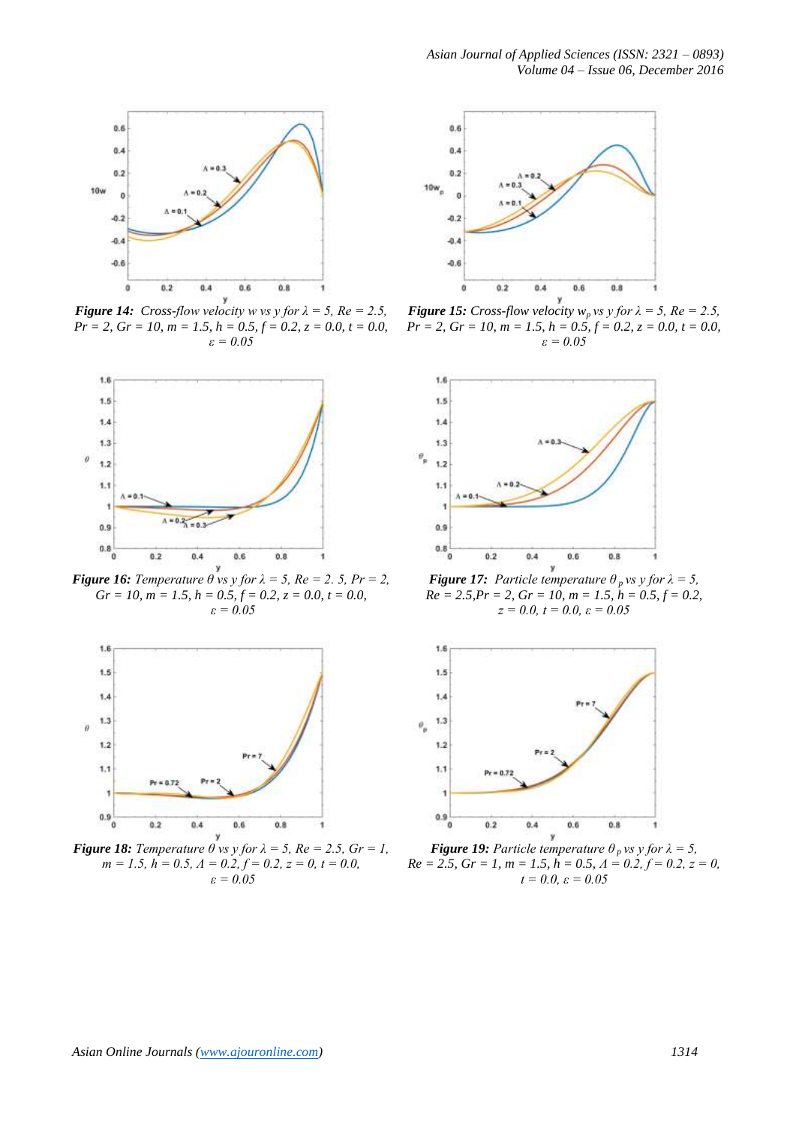

*Figure 14: Cross-flow velocity w vs y for*  $\lambda = 5$ ,  $Re = 2.5$ ,  $Pr = 2$ ,  $Gr = 10$ ,  $m = 1.5$ ,  $h = 0.5$ ,  $f = 0.2$ ,  $z = 0.0$ ,  $t = 0.0$ , *ε = 0.05*



*Figure 16: Temperature*  $\theta$  *vs y for*  $\lambda = 5$ *, Re = 2. 5, Pr = 2,*  $Gr = 10$ ,  $m = 1.5$ ,  $h = 0.5$ ,  $f = 0.2$ ,  $z = 0.0$ ,  $t = 0.0$ , *ε = 0.05*



*Figure 18: Temperature*  $\theta$  *vs y for*  $\lambda = 5$ *, Re = 2.5, Gr = 1,*  $m = 1.5$ ,  $h = 0.5$ ,  $\Lambda = 0.2$ ,  $f = 0.2$ ,  $z = 0$ ,  $t = 0.0$ , *ε = 0.05*



*Figure 15: Cross-flow velocity*  $w_p$  *vs y for*  $\lambda = 5$ *, Re = 2.5,*  $Pr = 2$ ,  $Gr = 10$ ,  $m = 1.5$ ,  $h = 0.5$ ,  $f = 0.2$ ,  $z = 0.0$ ,  $t = 0.0$ , *ε = 0.05*



*<i>Figure 17: Particle temperature*  $\theta_p$  *vs y for*  $\lambda = 5$ ,  $Re = 2.5, Pr = 2, Gr = 10, m = 1.5, h = 0.5, f = 0.2,$ *z = 0.0, t = 0.0, ε = 0.05*



*<i>Figure 19: Particle temperature*  $\theta_p$  *vs y for*  $\lambda = 5$ ,  $Re = 2.5$ ,  $Gr = 1$ ,  $m = 1.5$ ,  $h = 0.5$ ,  $A = 0.2$ ,  $f = 0.2$ ,  $z = 0$ , *t = 0.0, ε = 0.05*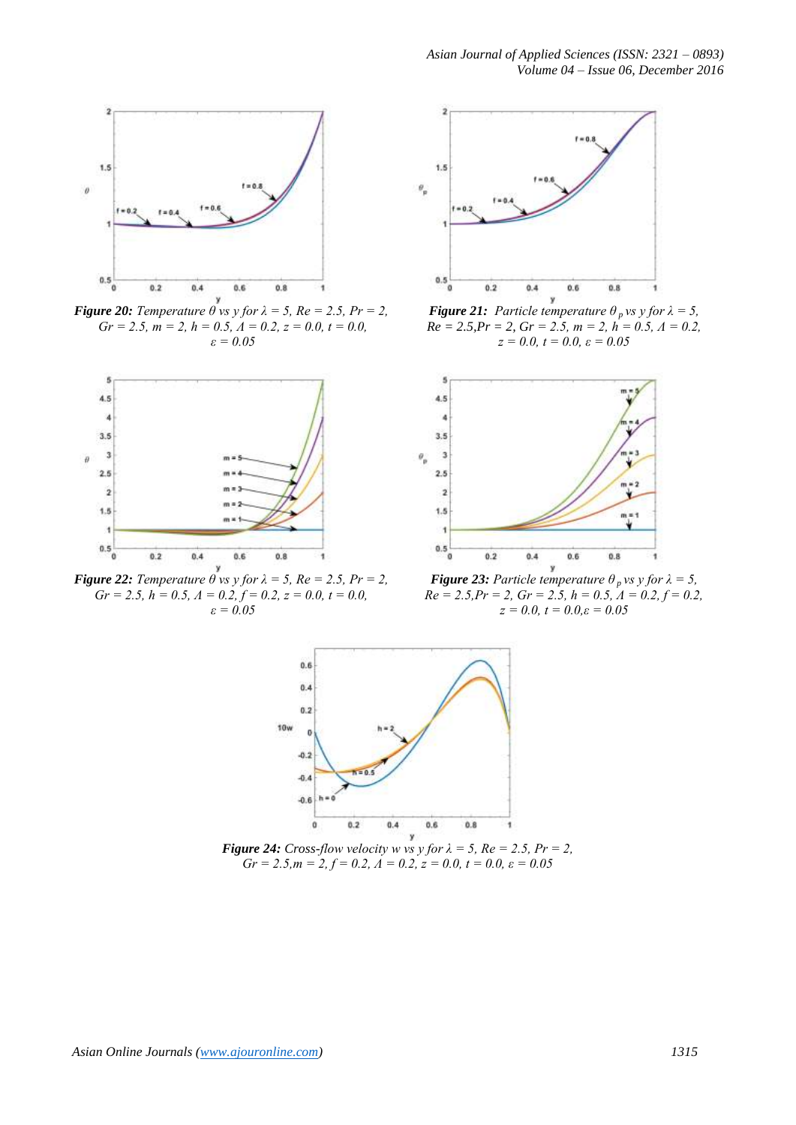

*Figure 20: Temperature*  $\theta$  *vs y for*  $\lambda = 5$ *, Re = 2.5, Pr = 2,*  $Gr = 2.5, m = 2, h = 0.5, A = 0.2, z = 0.0, t = 0.0,$ *ε = 0.05*



*Figure 22: Temperature*  $\theta$  *vs y for*  $\lambda = 5$ *, Re = 2.5, Pr = 2,*  $Gr = 2.5, h = 0.5, \Lambda = 0.2, f = 0.2, z = 0.0, t = 0.0,$ *ε = 0.05*



*<i>Figure 21: Particle temperature*  $\theta_p$  *vs y for*  $\lambda = 5$ ,  $Re = 2.5, Pr = 2, Gr = 2.5, m = 2, h = 0.5, \Lambda = 0.2,$ *z = 0.0, t = 0.0, ε = 0.05*



*Figure 23: Particle temperature*  $\theta_p$  *vs y for*  $\lambda = 5$ *,*  $Re = 2.5, Pr = 2, Gr = 2.5, h = 0.5, A = 0.2, f = 0.2,$ *z = 0.0, t = 0.0,ε = 0.05*



*Figure 24: Cross-flow velocity w vs y for*  $\lambda = 5$ ,  $Re = 2.5$ ,  $Pr = 2$ ,  $Gr = 2.5, m = 2, f = 0.2, \Lambda = 0.2, z = 0.0, t = 0.0, \varepsilon = 0.05$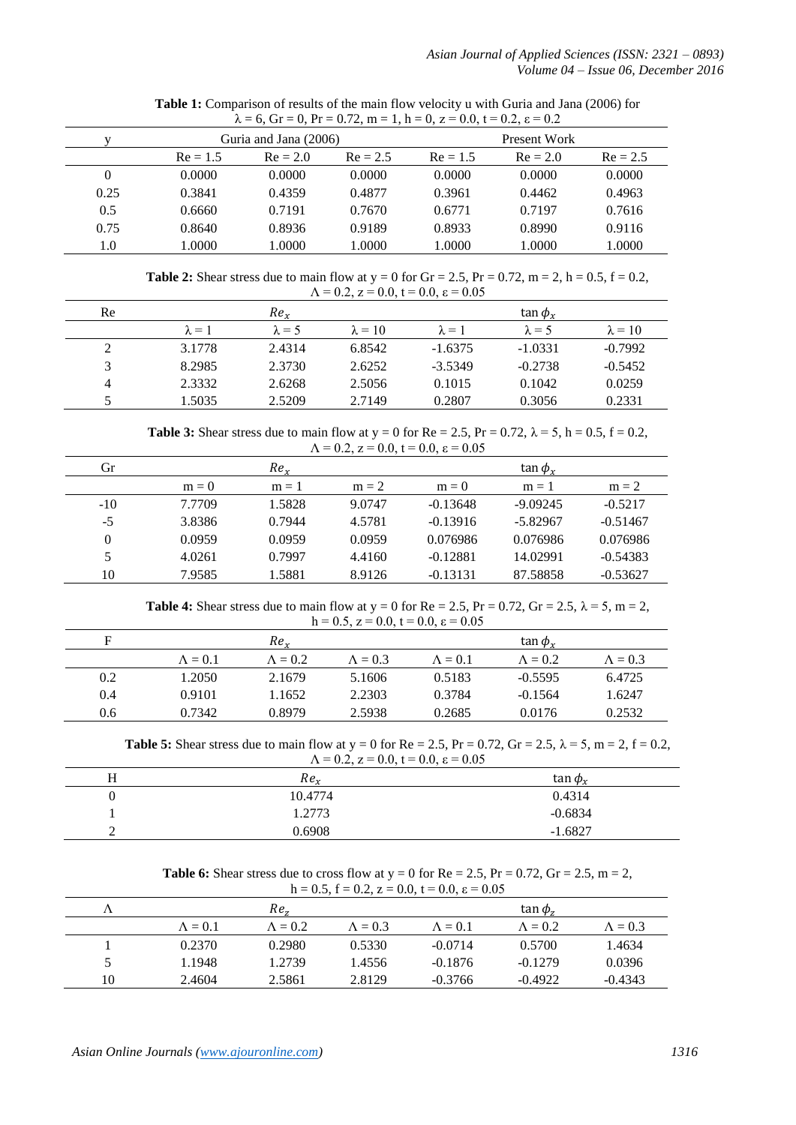| $\lambda = 0$ , $\text{or } 0.1 = 0$ , $\text{or } 1 = 0.72$ , $\text{m} = 1$ , $\text{n} = 0$ , $\text{z} = 0.0$ , $\text{t} = 0.2$ , $\text{z} = 0.2$ |                       |            |            |            |              |            |  |  |  |
|---------------------------------------------------------------------------------------------------------------------------------------------------------|-----------------------|------------|------------|------------|--------------|------------|--|--|--|
|                                                                                                                                                         | Guria and Jana (2006) |            |            |            | Present Work |            |  |  |  |
|                                                                                                                                                         | $Re = 1.5$            | $Re = 2.0$ | $Re = 2.5$ | $Re = 1.5$ | $Re = 2.0$   | $Re = 2.5$ |  |  |  |
| 0                                                                                                                                                       | 0.0000                | 0.0000     | 0.0000     | 0.0000     | 0.0000       | 0.0000     |  |  |  |
| 0.25                                                                                                                                                    | 0.3841                | 0.4359     | 0.4877     | 0.3961     | 0.4462       | 0.4963     |  |  |  |
| 0.5                                                                                                                                                     | 0.6660                | 0.7191     | 0.7670     | 0.6771     | 0.7197       | 0.7616     |  |  |  |
| 0.75                                                                                                                                                    | 0.8640                | 0.8936     | 0.9189     | 0.8933     | 0.8990       | 0.9116     |  |  |  |
| 1.0                                                                                                                                                     | 1.0000                | 1.0000     | 1.0000     | 1.0000     | 1.0000       | 1.0000     |  |  |  |

**Table 1:** Comparison of results of the main flow velocity u with Guria and Jana (2006) for  $-6$  Gr  $-$  0, Pr  $-$  0.72, m  $-1$ , h  $-$  0, z  $=$  0.0, t  $=$  0.2, s  $=$  0.2

**Table 2:** Shear stress due to main flow at  $y = 0$  for  $Gr = 2.5$ ,  $Pr = 0.72$ ,  $m = 2$ ,  $h = 0.5$ ,  $f = 0.2$ ,  $\Lambda = 0.2$ ,  $z = 0.0$ ,  $t = 0.0$ ,  $\varepsilon = 0.05$ 

| Re           |               | Re <sub>r</sub> |                |               | $\tan \phi_r$ |                |
|--------------|---------------|-----------------|----------------|---------------|---------------|----------------|
|              | $\lambda = 1$ | $\lambda = 5$   | $\lambda = 10$ | $\lambda = 1$ | $\lambda = 5$ | $\lambda = 10$ |
|              | 3.1778        | 2.4314          | 6.8542         | $-1.6375$     | $-1.0331$     | $-0.7992$      |
| $\mathbf{R}$ | 8.2985        | 2.3730          | 2.6252         | $-3.5349$     | $-0.2738$     | $-0.5452$      |
| 4            | 2.3332        | 2.6268          | 2.5056         | 0.1015        | 0.1042        | 0.0259         |
|              | .5035         | 2.5209          | 2.7149         | 0.2807        | 0.3056        | 0.2331         |

**Table 3:** Shear stress due to main flow at  $y = 0$  for  $Re = 2.5$ ,  $Pr = 0.72$ ,  $\lambda = 5$ ,  $h = 0.5$ ,  $f = 0.2$ ,  $\Lambda = 0.2$ ,  $z = 0.0$ ,  $t = 0.0$ ,  $\varepsilon = 0.05$ 

| Gr    |         | Re <sub>r</sub> |         |            | $\tan \phi_r$ |            |
|-------|---------|-----------------|---------|------------|---------------|------------|
|       | $m = 0$ | $m = 1$         | $m = 2$ | $m = 0$    | $m = 1$       | $m = 2$    |
| $-10$ | 7.7709  | 1.5828          | 9.0747  | $-0.13648$ | $-9.09245$    | $-0.5217$  |
| $-5$  | 3.8386  | 0.7944          | 4.5781  | $-0.13916$ | $-5.82967$    | $-0.51467$ |
| 0     | 0.0959  | 0.0959          | 0.0959  | 0.076986   | 0.076986      | 0.076986   |
|       | 4.0261  | 0.7997          | 4.4160  | $-0.12881$ | 14.02991      | $-0.54383$ |
| 10    | 7.9585  | 1.5881          | 8.9126  | $-0.13131$ | 87.58858      | $-0.53627$ |

**Table 4:** Shear stress due to main flow at  $y = 0$  for  $Re = 2.5$ ,  $Pr = 0.72$ ,  $Gr = 2.5$ ,  $\lambda = 5$ ,  $m = 2$ , h = 0.5,  $z = 0.0$ ,  $t = 0.0$ ,  $\varepsilon = 0.05$ 

| F   |                 | Re <sub>r</sub> |                 |                 | tan $\phi_r$    |                 |
|-----|-----------------|-----------------|-----------------|-----------------|-----------------|-----------------|
|     | $\Lambda = 0.1$ | $\Lambda = 0.2$ | $\Lambda = 0.3$ | $\Lambda = 0.1$ | $\Lambda = 0.2$ | $\Lambda = 0.3$ |
| 0.2 | 1.2050          | 2.1679          | 5.1606          | 0.5183          | $-0.5595$       | 6.4725          |
| 0.4 | 0.9101          | 1.1652          | 2.2303          | 0.3784          | $-0.1564$       | 1.6247          |
| 0.6 | 0.7342          | 0.8979          | 2.5938          | 0.2685          | 0.0176          | 0.2532          |

**Table 5:** Shear stress due to main flow at  $y = 0$  for Re = 2.5, Pr = 0.72, Gr = 2.5,  $\lambda = 5$ , m = 2, f = 0.2,  $\Lambda = 0.2$ ,  $z = 0.0$ ,  $t = 0.0$ ,  $\varepsilon = 0.05$ 

| Re <sub>r</sub> | tan $\phi_{\rm v}$ |
|-----------------|--------------------|
| 10.4774         | 0.4314             |
| 1.2773          | $-0.6834$          |
| 0.6908          | $-1.6827$          |

**Table 6:** Shear stress due to cross flow at  $y = 0$  for  $Re = 2.5$ ,  $Pr = 0.72$ ,  $Gr = 2.5$ ,  $m = 2$ ,  $h = 0.5$ ,  $f = 0.2$ ,  $z = 0.0$ ,  $t = 0.0$ ,  $s = 0.05$ 

|    | $11 - 0.5$ , $1 - 0.2$ , $2 - 0.0$ , $1 - 0.0$ , $6 - 0.05$ |                 |                 |                 |                    |                 |  |  |  |
|----|-------------------------------------------------------------|-----------------|-----------------|-----------------|--------------------|-----------------|--|--|--|
|    |                                                             | Re.             |                 |                 | $\tan \phi_{\tau}$ |                 |  |  |  |
|    | $\Lambda = 0.1$                                             | $\Lambda = 0.2$ | $\Lambda = 0.3$ | $\Lambda = 0.1$ | $\Lambda = 0.2$    | $\Lambda = 0.3$ |  |  |  |
|    | 0.2370                                                      | 0.2980          | 0.5330          | $-0.0714$       | 0.5700             | 1.4634          |  |  |  |
|    | 1.1948                                                      | 1.2739          | 1.4556          | $-0.1876$       | $-0.1279$          | 0.0396          |  |  |  |
| 10 | 2.4604                                                      | 2.5861          | 2.8129          | $-0.3766$       | $-0.4922$          | $-0.4343$       |  |  |  |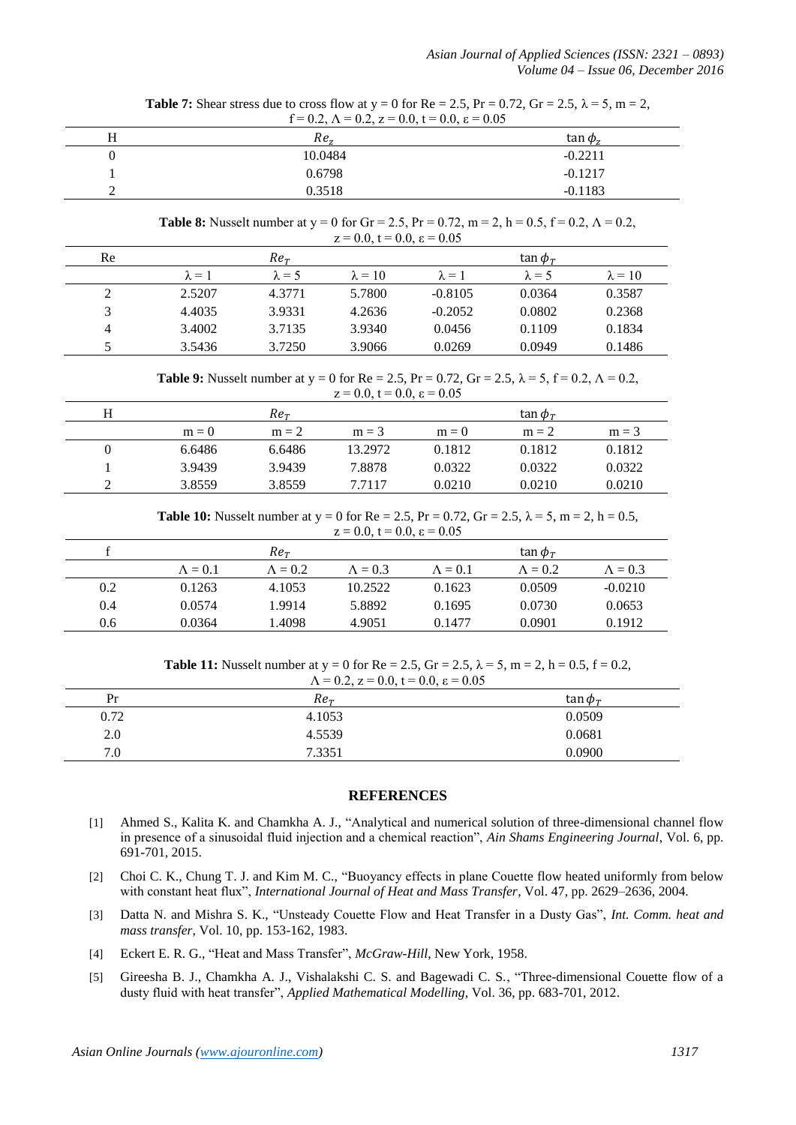**Table 7:** Shear stress due to cross flow at  $y = 0$  for Re = 2.5, Pr = 0.72, Gr = 2.5,  $\lambda = 5$ , m = 2, f = 0.2,  $\Lambda$  = 0.2,  $z$  = 0.0,  $t$  = 0.0,  $\varepsilon$  = 0.05

| Н | Re <sub>z</sub> | $\tan \phi_z$ |
|---|-----------------|---------------|
| υ | 10.0484         | $-0.2211$     |
|   | 0.6798          | $-0.1217$     |
|   | 0.3518          | $-0.1183$     |

**Table 8:** Nusselt number at y = 0 for Gr = 2.5, Pr = 0.72, m = 2, h = 0.5, f = 0.2,  $\Lambda$  = 0.2,  $z = 0.0$ ,  $t = 0.0$ ,  $\varepsilon = 0.05$ 

| Re                      |               | $Re_{\tau}$   |                |               | tan $\phi_{\tau}$ |                |
|-------------------------|---------------|---------------|----------------|---------------|-------------------|----------------|
|                         | $\lambda = 1$ | $\lambda = 5$ | $\lambda = 10$ | $\lambda = 1$ | $\lambda = 5$     | $\lambda = 10$ |
|                         | 2.5207        | 4.3771        | 5.7800         | $-0.8105$     | 0.0364            | 0.3587         |
| $\mathbf{\overline{3}}$ | 4.4035        | 3.9331        | 4.2636         | $-0.2052$     | 0.0802            | 0.2368         |
| 4                       | 3.4002        | 3.7135        | 3.9340         | 0.0456        | 0.1109            | 0.1834         |
|                         | 3.5436        | 3.7250        | 3.9066         | 0.0269        | 0.0949            | 0.1486         |

**Table 9:** Nusselt number at y = 0 for Re = 2.5, Pr = 0.72, Gr = 2.5,  $\lambda$  = 5, f = 0.2,  $\Lambda$  = 0.2,  $z = 0.0, t = 0.0, \varepsilon = 0.05$ 

|   |         |             | .       |         |                   |         |
|---|---------|-------------|---------|---------|-------------------|---------|
| Н |         | $Re_{\tau}$ |         |         | tan $\phi_{\tau}$ |         |
|   | $m = 0$ | $m = 2$     | $m = 3$ | $m = 0$ | $m = 2$           | $m = 3$ |
|   | 6.6486  | 6.6486      | 13.2972 | 0.1812  | 0.1812            | 0.1812  |
|   | 3.9439  | 3.9439      | 7.8878  | 0.0322  | 0.0322            | 0.0322  |
|   | 3.8559  | 3.8559      | 7.7117  | 0.0210  | 0.0210            | 0.0210  |

**Table 10:** Nusselt number at  $y = 0$  for  $Re = 2.5$ ,  $Pr = 0.72$ ,  $Gr = 2.5$ ,  $\lambda = 5$ ,  $m = 2$ ,  $h = 0.5$ ,  $z = 0.0$ ,  $t = 0.0$ ,  $\varepsilon = 0.05$ 

|     |                 | $Re_{\tau}$     |                 |                 | tan $\phi_{\tau}$ |                 |
|-----|-----------------|-----------------|-----------------|-----------------|-------------------|-----------------|
|     | $\Lambda = 0.1$ | $\Lambda = 0.2$ | $\Lambda = 0.3$ | $\Lambda = 0.1$ | $\Lambda = 0.2$   | $\Lambda = 0.3$ |
| 0.2 | 0.1263          | 4.1053          | 10.2522         | 0.1623          | 0.0509            | $-0.0210$       |
| 0.4 | 0.0574          | 1.9914          | 5.8892          | 0.1695          | 0.0730            | 0.0653          |
| 0.6 | 0.0364          | .4098           | 4.9051          | 0.1477          | 0.0901            | 0.1912          |

**Table 11:** Nusselt number at  $y = 0$  for  $Re = 2.5$ ,  $Gr = 2.5$ ,  $\lambda = 5$ ,  $m = 2$ ,  $h = 0.5$ ,  $f = 0.2$ ,  $\Lambda = 0.2$ ,  $z = 0.0$ ,  $t = 0.0$ ,  $\varepsilon = 0.05$ 

| $11 - 0.2$ , $2 - 0.0$ , $1 - 0.0$ , $6 - 0.03$ |                 |                   |
|-------------------------------------------------|-----------------|-------------------|
| Pr                                              | Re <sub>r</sub> | tan $\phi_{\tau}$ |
| 0.72                                            | 4.1053          | 0.0509            |
| 2.0                                             | 4.5539          | 0.0681            |
| 7.0                                             | 7.3351          | 0.0900            |

# **REFERENCES**

- [1] Ahmed S., Kalita K. and Chamkha A. J., "Analytical and numerical solution of three-dimensional channel flow in presence of a sinusoidal fluid injection and a chemical reaction", *Ain Shams Engineering Journal*, Vol. 6, pp. 691-701, 2015.
- [2] Choi C. K., Chung T. J. and Kim M. C., "Buoyancy effects in plane Couette flow heated uniformly from below with constant heat flux", *International Journal of Heat and Mass Transfer*, Vol. 47, pp. 2629–2636, 2004.
- [3] Datta N. and Mishra S. K., "Unsteady Couette Flow and Heat Transfer in a Dusty Gas", *Int. Comm. heat and mass transfer*, Vol. 10, pp. 153-162, 1983.
- [4] Eckert E. R. G., "Heat and Mass Transfer", *McGraw-Hill*, New York, 1958.
- [5] Gireesha B. J., Chamkha A. J., Vishalakshi C. S. and Bagewadi C. S., "Three-dimensional Couette flow of a dusty fluid with heat transfer", *Applied Mathematical Modelling*, Vol. 36, pp. 683-701, 2012.